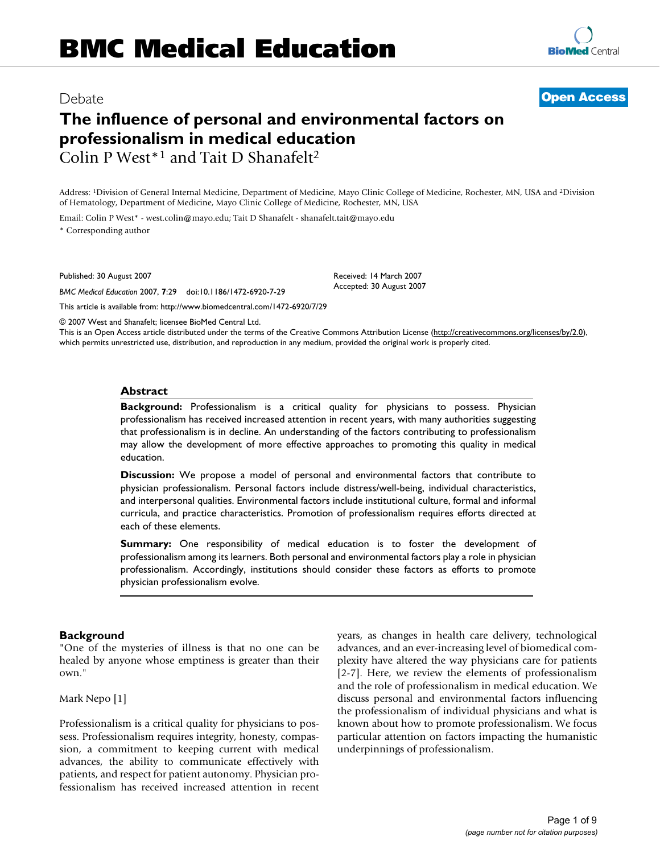## Debate **[Open Access](http://www.biomedcentral.com/info/about/charter/)**

# **The influence of personal and environmental factors on professionalism in medical education** Colin P West\*1 and Tait D Shanafelt2

Address: 1Division of General Internal Medicine, Department of Medicine, Mayo Clinic College of Medicine, Rochester, MN, USA and 2Division of Hematology, Department of Medicine, Mayo Clinic College of Medicine, Rochester, MN, USA

Email: Colin P West\* - west.colin@mayo.edu; Tait D Shanafelt - shanafelt.tait@mayo.edu \* Corresponding author

Published: 30 August 2007

*BMC Medical Education* 2007, **7**:29 doi:10.1186/1472-6920-7-29

Received: 14 March 2007 Accepted: 30 August 2007

[This article is available from: http://www.biomedcentral.com/1472-6920/7/29](http://www.biomedcentral.com/1472-6920/7/29)

© 2007 West and Shanafelt; licensee BioMed Central Ltd.

This is an Open Access article distributed under the terms of the Creative Commons Attribution License [\(http://creativecommons.org/licenses/by/2.0\)](http://creativecommons.org/licenses/by/2.0), which permits unrestricted use, distribution, and reproduction in any medium, provided the original work is properly cited.

#### **Abstract**

**Background:** Professionalism is a critical quality for physicians to possess. Physician professionalism has received increased attention in recent years, with many authorities suggesting that professionalism is in decline. An understanding of the factors contributing to professionalism may allow the development of more effective approaches to promoting this quality in medical education.

**Discussion:** We propose a model of personal and environmental factors that contribute to physician professionalism. Personal factors include distress/well-being, individual characteristics, and interpersonal qualities. Environmental factors include institutional culture, formal and informal curricula, and practice characteristics. Promotion of professionalism requires efforts directed at each of these elements.

**Summary:** One responsibility of medical education is to foster the development of professionalism among its learners. Both personal and environmental factors play a role in physician professionalism. Accordingly, institutions should consider these factors as efforts to promote physician professionalism evolve.

#### **Background**

"One of the mysteries of illness is that no one can be healed by anyone whose emptiness is greater than their own."

Mark Nepo [1]

Professionalism is a critical quality for physicians to possess. Professionalism requires integrity, honesty, compassion, a commitment to keeping current with medical advances, the ability to communicate effectively with patients, and respect for patient autonomy. Physician professionalism has received increased attention in recent years, as changes in health care delivery, technological advances, and an ever-increasing level of biomedical complexity have altered the way physicians care for patients [2-7]. Here, we review the elements of professionalism and the role of professionalism in medical education. We discuss personal and environmental factors influencing the professionalism of individual physicians and what is known about how to promote professionalism. We focus particular attention on factors impacting the humanistic underpinnings of professionalism.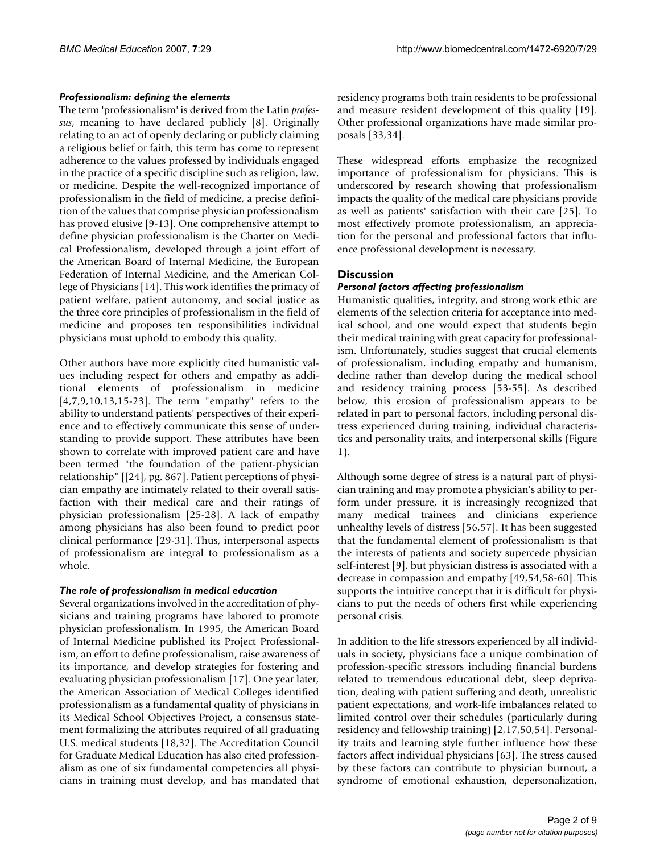#### *Professionalism: defining the elements*

The term 'professionalism' is derived from the Latin *professus*, meaning to have declared publicly [8]. Originally relating to an act of openly declaring or publicly claiming a religious belief or faith, this term has come to represent adherence to the values professed by individuals engaged in the practice of a specific discipline such as religion, law, or medicine. Despite the well-recognized importance of professionalism in the field of medicine, a precise definition of the values that comprise physician professionalism has proved elusive [9-13]. One comprehensive attempt to define physician professionalism is the Charter on Medical Professionalism, developed through a joint effort of the American Board of Internal Medicine, the European Federation of Internal Medicine, and the American College of Physicians [14]. This work identifies the primacy of patient welfare, patient autonomy, and social justice as the three core principles of professionalism in the field of medicine and proposes ten responsibilities individual physicians must uphold to embody this quality.

Other authors have more explicitly cited humanistic values including respect for others and empathy as additional elements of professionalism in medicine [4,7,9,10,13,15-23]. The term "empathy" refers to the ability to understand patients' perspectives of their experience and to effectively communicate this sense of understanding to provide support. These attributes have been shown to correlate with improved patient care and have been termed "the foundation of the patient-physician relationship" [[24], pg. 867]. Patient perceptions of physician empathy are intimately related to their overall satisfaction with their medical care and their ratings of physician professionalism [25-28]. A lack of empathy among physicians has also been found to predict poor clinical performance [29-31]. Thus, interpersonal aspects of professionalism are integral to professionalism as a whole.

### *The role of professionalism in medical education*

Several organizations involved in the accreditation of physicians and training programs have labored to promote physician professionalism. In 1995, the American Board of Internal Medicine published its Project Professionalism, an effort to define professionalism, raise awareness of its importance, and develop strategies for fostering and evaluating physician professionalism [17]. One year later, the American Association of Medical Colleges identified professionalism as a fundamental quality of physicians in its Medical School Objectives Project, a consensus statement formalizing the attributes required of all graduating U.S. medical students [18,32]. The Accreditation Council for Graduate Medical Education has also cited professionalism as one of six fundamental competencies all physicians in training must develop, and has mandated that

residency programs both train residents to be professional and measure resident development of this quality [19]. Other professional organizations have made similar proposals [33,34].

These widespread efforts emphasize the recognized importance of professionalism for physicians. This is underscored by research showing that professionalism impacts the quality of the medical care physicians provide as well as patients' satisfaction with their care [25]. To most effectively promote professionalism, an appreciation for the personal and professional factors that influence professional development is necessary.

## **Discussion**

## *Personal factors affecting professionalism*

Humanistic qualities, integrity, and strong work ethic are elements of the selection criteria for acceptance into medical school, and one would expect that students begin their medical training with great capacity for professionalism. Unfortunately, studies suggest that crucial elements of professionalism, including empathy and humanism, decline rather than develop during the medical school and residency training process [53-55]. As described below, this erosion of professionalism appears to be related in part to personal factors, including personal distress experienced during training, individual characteristics and personality traits, and interpersonal skills (Figure 1).

Although some degree of stress is a natural part of physician training and may promote a physician's ability to perform under pressure, it is increasingly recognized that many medical trainees and clinicians experience unhealthy levels of distress [56,57]. It has been suggested that the fundamental element of professionalism is that the interests of patients and society supercede physician self-interest [9], but physician distress is associated with a decrease in compassion and empathy [49,54,58-60]. This supports the intuitive concept that it is difficult for physicians to put the needs of others first while experiencing personal crisis.

In addition to the life stressors experienced by all individuals in society, physicians face a unique combination of profession-specific stressors including financial burdens related to tremendous educational debt, sleep deprivation, dealing with patient suffering and death, unrealistic patient expectations, and work-life imbalances related to limited control over their schedules (particularly during residency and fellowship training) [2,17,50,54]. Personality traits and learning style further influence how these factors affect individual physicians [63]. The stress caused by these factors can contribute to physician burnout, a syndrome of emotional exhaustion, depersonalization,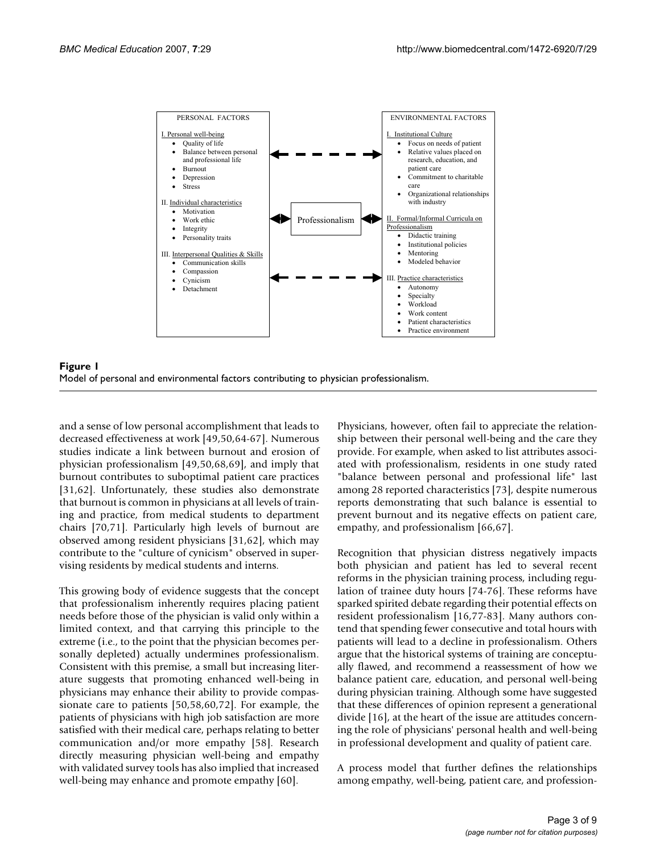



and a sense of low personal accomplishment that leads to decreased effectiveness at work [49,50,64-67]. Numerous studies indicate a link between burnout and erosion of physician professionalism [49,50,68,69], and imply that burnout contributes to suboptimal patient care practices [31,62]. Unfortunately, these studies also demonstrate that burnout is common in physicians at all levels of training and practice, from medical students to department chairs [70,71]. Particularly high levels of burnout are observed among resident physicians [31,62], which may contribute to the "culture of cynicism" observed in supervising residents by medical students and interns.

This growing body of evidence suggests that the concept that professionalism inherently requires placing patient needs before those of the physician is valid only within a limited context, and that carrying this principle to the extreme (i.e., to the point that the physician becomes personally depleted) actually undermines professionalism. Consistent with this premise, a small but increasing literature suggests that promoting enhanced well-being in physicians may enhance their ability to provide compassionate care to patients [50,58,60,72]. For example, the patients of physicians with high job satisfaction are more satisfied with their medical care, perhaps relating to better communication and/or more empathy [58]. Research directly measuring physician well-being and empathy with validated survey tools has also implied that increased well-being may enhance and promote empathy [60].

Physicians, however, often fail to appreciate the relationship between their personal well-being and the care they provide. For example, when asked to list attributes associated with professionalism, residents in one study rated "balance between personal and professional life" last among 28 reported characteristics [73], despite numerous reports demonstrating that such balance is essential to prevent burnout and its negative effects on patient care, empathy, and professionalism [66,67].

Recognition that physician distress negatively impacts both physician and patient has led to several recent reforms in the physician training process, including regulation of trainee duty hours [74-76]. These reforms have sparked spirited debate regarding their potential effects on resident professionalism [16,77-83]. Many authors contend that spending fewer consecutive and total hours with patients will lead to a decline in professionalism. Others argue that the historical systems of training are conceptually flawed, and recommend a reassessment of how we balance patient care, education, and personal well-being during physician training. Although some have suggested that these differences of opinion represent a generational divide [16], at the heart of the issue are attitudes concerning the role of physicians' personal health and well-being in professional development and quality of patient care.

A process model that further defines the relationships among empathy, well-being, patient care, and profession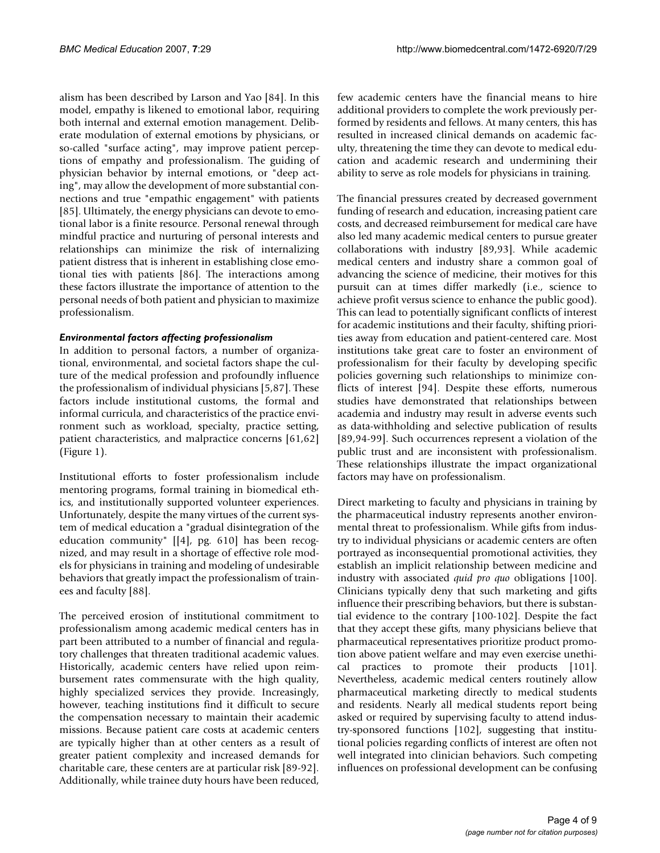alism has been described by Larson and Yao [84]. In this model, empathy is likened to emotional labor, requiring both internal and external emotion management. Deliberate modulation of external emotions by physicians, or so-called "surface acting", may improve patient perceptions of empathy and professionalism. The guiding of physician behavior by internal emotions, or "deep acting", may allow the development of more substantial connections and true "empathic engagement" with patients [85]. Ultimately, the energy physicians can devote to emotional labor is a finite resource. Personal renewal through mindful practice and nurturing of personal interests and relationships can minimize the risk of internalizing patient distress that is inherent in establishing close emotional ties with patients [86]. The interactions among these factors illustrate the importance of attention to the personal needs of both patient and physician to maximize professionalism.

#### *Environmental factors affecting professionalism*

In addition to personal factors, a number of organizational, environmental, and societal factors shape the culture of the medical profession and profoundly influence the professionalism of individual physicians [5,87]. These factors include institutional customs, the formal and informal curricula, and characteristics of the practice environment such as workload, specialty, practice setting, patient characteristics, and malpractice concerns [61,62] (Figure 1).

Institutional efforts to foster professionalism include mentoring programs, formal training in biomedical ethics, and institutionally supported volunteer experiences. Unfortunately, despite the many virtues of the current system of medical education a "gradual disintegration of the education community" [[4], pg. 610] has been recognized, and may result in a shortage of effective role models for physicians in training and modeling of undesirable behaviors that greatly impact the professionalism of trainees and faculty [88].

The perceived erosion of institutional commitment to professionalism among academic medical centers has in part been attributed to a number of financial and regulatory challenges that threaten traditional academic values. Historically, academic centers have relied upon reimbursement rates commensurate with the high quality, highly specialized services they provide. Increasingly, however, teaching institutions find it difficult to secure the compensation necessary to maintain their academic missions. Because patient care costs at academic centers are typically higher than at other centers as a result of greater patient complexity and increased demands for charitable care, these centers are at particular risk [89-92]. Additionally, while trainee duty hours have been reduced,

few academic centers have the financial means to hire additional providers to complete the work previously performed by residents and fellows. At many centers, this has resulted in increased clinical demands on academic faculty, threatening the time they can devote to medical education and academic research and undermining their ability to serve as role models for physicians in training.

The financial pressures created by decreased government funding of research and education, increasing patient care costs, and decreased reimbursement for medical care have also led many academic medical centers to pursue greater collaborations with industry [89,93]. While academic medical centers and industry share a common goal of advancing the science of medicine, their motives for this pursuit can at times differ markedly (i.e., science to achieve profit versus science to enhance the public good). This can lead to potentially significant conflicts of interest for academic institutions and their faculty, shifting priorities away from education and patient-centered care. Most institutions take great care to foster an environment of professionalism for their faculty by developing specific policies governing such relationships to minimize conflicts of interest [94]. Despite these efforts, numerous studies have demonstrated that relationships between academia and industry may result in adverse events such as data-withholding and selective publication of results [89,94-99]. Such occurrences represent a violation of the public trust and are inconsistent with professionalism. These relationships illustrate the impact organizational factors may have on professionalism.

Direct marketing to faculty and physicians in training by the pharmaceutical industry represents another environmental threat to professionalism. While gifts from industry to individual physicians or academic centers are often portrayed as inconsequential promotional activities, they establish an implicit relationship between medicine and industry with associated *quid pro quo* obligations [100]. Clinicians typically deny that such marketing and gifts influence their prescribing behaviors, but there is substantial evidence to the contrary [100-102]. Despite the fact that they accept these gifts, many physicians believe that pharmaceutical representatives prioritize product promotion above patient welfare and may even exercise unethical practices to promote their products [101]. Nevertheless, academic medical centers routinely allow pharmaceutical marketing directly to medical students and residents. Nearly all medical students report being asked or required by supervising faculty to attend industry-sponsored functions [102], suggesting that institutional policies regarding conflicts of interest are often not well integrated into clinician behaviors. Such competing influences on professional development can be confusing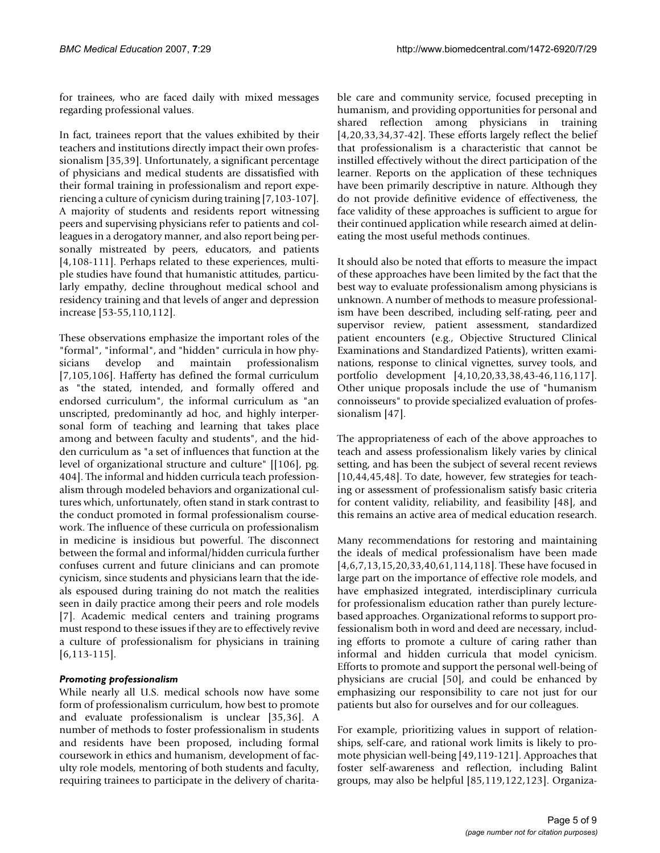for trainees, who are faced daily with mixed messages regarding professional values.

In fact, trainees report that the values exhibited by their teachers and institutions directly impact their own professionalism [35,39]. Unfortunately, a significant percentage of physicians and medical students are dissatisfied with their formal training in professionalism and report experiencing a culture of cynicism during training [7,103-107]. A majority of students and residents report witnessing peers and supervising physicians refer to patients and colleagues in a derogatory manner, and also report being personally mistreated by peers, educators, and patients [4,108-111]. Perhaps related to these experiences, multiple studies have found that humanistic attitudes, particularly empathy, decline throughout medical school and residency training and that levels of anger and depression increase [53-55,110,112].

These observations emphasize the important roles of the "formal", "informal", and "hidden" curricula in how physicians develop and maintain professionalism [7,105,106]. Hafferty has defined the formal curriculum as "the stated, intended, and formally offered and endorsed curriculum", the informal curriculum as "an unscripted, predominantly ad hoc, and highly interpersonal form of teaching and learning that takes place among and between faculty and students", and the hidden curriculum as "a set of influences that function at the level of organizational structure and culture" [[106], pg. 404]. The informal and hidden curricula teach professionalism through modeled behaviors and organizational cultures which, unfortunately, often stand in stark contrast to the conduct promoted in formal professionalism coursework. The influence of these curricula on professionalism in medicine is insidious but powerful. The disconnect between the formal and informal/hidden curricula further confuses current and future clinicians and can promote cynicism, since students and physicians learn that the ideals espoused during training do not match the realities seen in daily practice among their peers and role models [7]. Academic medical centers and training programs must respond to these issues if they are to effectively revive a culture of professionalism for physicians in training  $[6,113-115]$  $[6,113-115]$  $[6,113-115]$ .

### *Promoting professionalism*

While nearly all U.S. medical schools now have some form of professionalism curriculum, how best to promote and evaluate professionalism is unclear [35,36]. A number of methods to foster professionalism in students and residents have been proposed, including formal coursework in ethics and humanism, development of faculty role models, mentoring of both students and faculty, requiring trainees to participate in the delivery of charitable care and community service, focused precepting in humanism, and providing opportunities for personal and shared reflection among physicians in training [4,20,33,34,37-42]. These efforts largely reflect the belief that professionalism is a characteristic that cannot be instilled effectively without the direct participation of the learner. Reports on the application of these techniques have been primarily descriptive in nature. Although they do not provide definitive evidence of effectiveness, the face validity of these approaches is sufficient to argue for their continued application while research aimed at delineating the most useful methods continues.

It should also be noted that efforts to measure the impact of these approaches have been limited by the fact that the best way to evaluate professionalism among physicians is unknown. A number of methods to measure professionalism have been described, including self-rating, peer and supervisor review, patient assessment, standardized patient encounters (e.g., Objective Structured Clinical Examinations and Standardized Patients), written examinations, response to clinical vignettes, survey tools, and portfolio development [4,10,20,33,38,43-46,116,117]. Other unique proposals include the use of "humanism connoisseurs" to provide specialized evaluation of professionalism [47].

The appropriateness of each of the above approaches to teach and assess professionalism likely varies by clinical setting, and has been the subject of several recent reviews [10,44,45,48]. To date, however, few strategies for teaching or assessment of professionalism satisfy basic criteria for content validity, reliability, and feasibility [48], and this remains an active area of medical education research.

Many recommendations for restoring and maintaining the ideals of medical professionalism have been made [4,6,7,13,15,20,33,40,61,114,118]. These have focused in large part on the importance of effective role models, and have emphasized integrated, interdisciplinary curricula for professionalism education rather than purely lecturebased approaches. Organizational reforms to support professionalism both in word and deed are necessary, including efforts to promote a culture of caring rather than informal and hidden curricula that model cynicism. Efforts to promote and support the personal well-being of physicians are crucial [50], and could be enhanced by emphasizing our responsibility to care not just for our patients but also for ourselves and for our colleagues.

For example, prioritizing values in support of relationships, self-care, and rational work limits is likely to promote physician well-being [49,119-121]. Approaches that foster self-awareness and reflection, including Balint groups, may also be helpful [85,119,122,123]. Organiza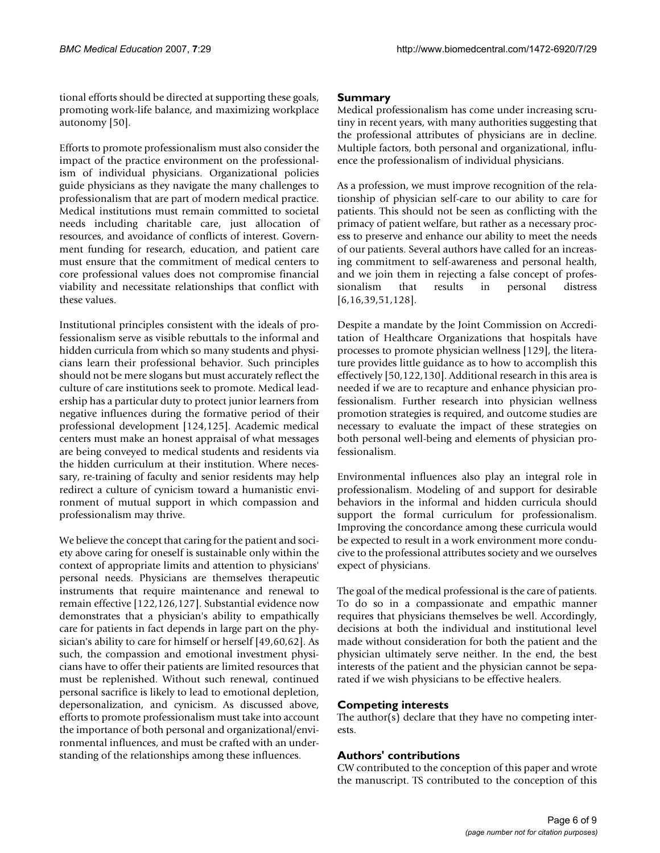tional efforts should be directed at supporting these goals, promoting work-life balance, and maximizing workplace autonomy [50].

Efforts to promote professionalism must also consider the impact of the practice environment on the professionalism of individual physicians. Organizational policies guide physicians as they navigate the many challenges to professionalism that are part of modern medical practice. Medical institutions must remain committed to societal needs including charitable care, just allocation of resources, and avoidance of conflicts of interest. Government funding for research, education, and patient care must ensure that the commitment of medical centers to core professional values does not compromise financial viability and necessitate relationships that conflict with these values.

Institutional principles consistent with the ideals of professionalism serve as visible rebuttals to the informal and hidden curricula from which so many students and physicians learn their professional behavior. Such principles should not be mere slogans but must accurately reflect the culture of care institutions seek to promote. Medical leadership has a particular duty to protect junior learners from negative influences during the formative period of their professional development [124,125]. Academic medical centers must make an honest appraisal of what messages are being conveyed to medical students and residents via the hidden curriculum at their institution. Where necessary, re-training of faculty and senior residents may help redirect a culture of cynicism toward a humanistic environment of mutual support in which compassion and professionalism may thrive.

We believe the concept that caring for the patient and society above caring for oneself is sustainable only within the context of appropriate limits and attention to physicians' personal needs. Physicians are themselves therapeutic instruments that require maintenance and renewal to remain effective [122,126,127]. Substantial evidence now demonstrates that a physician's ability to empathically care for patients in fact depends in large part on the physician's ability to care for himself or herself [49,60,62]. As such, the compassion and emotional investment physicians have to offer their patients are limited resources that must be replenished. Without such renewal, continued personal sacrifice is likely to lead to emotional depletion, depersonalization, and cynicism. As discussed above, efforts to promote professionalism must take into account the importance of both personal and organizational/environmental influences, and must be crafted with an understanding of the relationships among these influences.

### **Summary**

Medical professionalism has come under increasing scrutiny in recent years, with many authorities suggesting that the professional attributes of physicians are in decline. Multiple factors, both personal and organizational, influence the professionalism of individual physicians.

As a profession, we must improve recognition of the relationship of physician self-care to our ability to care for patients. This should not be seen as conflicting with the primacy of patient welfare, but rather as a necessary process to preserve and enhance our ability to meet the needs of our patients. Several authors have called for an increasing commitment to self-awareness and personal health, and we join them in rejecting a false concept of professionalism that results in personal distress [6,16,39,51,128].

Despite a mandate by the Joint Commission on Accreditation of Healthcare Organizations that hospitals have processes to promote physician wellness [129], the literature provides little guidance as to how to accomplish this effectively [50,122,130]. Additional research in this area is needed if we are to recapture and enhance physician professionalism. Further research into physician wellness promotion strategies is required, and outcome studies are necessary to evaluate the impact of these strategies on both personal well-being and elements of physician professionalism.

Environmental influences also play an integral role in professionalism. Modeling of and support for desirable behaviors in the informal and hidden curricula should support the formal curriculum for professionalism. Improving the concordance among these curricula would be expected to result in a work environment more conducive to the professional attributes society and we ourselves expect of physicians.

The goal of the medical professional is the care of patients. To do so in a compassionate and empathic manner requires that physicians themselves be well. Accordingly, decisions at both the individual and institutional level made without consideration for both the patient and the physician ultimately serve neither. In the end, the best interests of the patient and the physician cannot be separated if we wish physicians to be effective healers.

### **Competing interests**

The author(s) declare that they have no competing interests.

## **Authors' contributions**

CW contributed to the conception of this paper and wrote the manuscript. TS contributed to the conception of this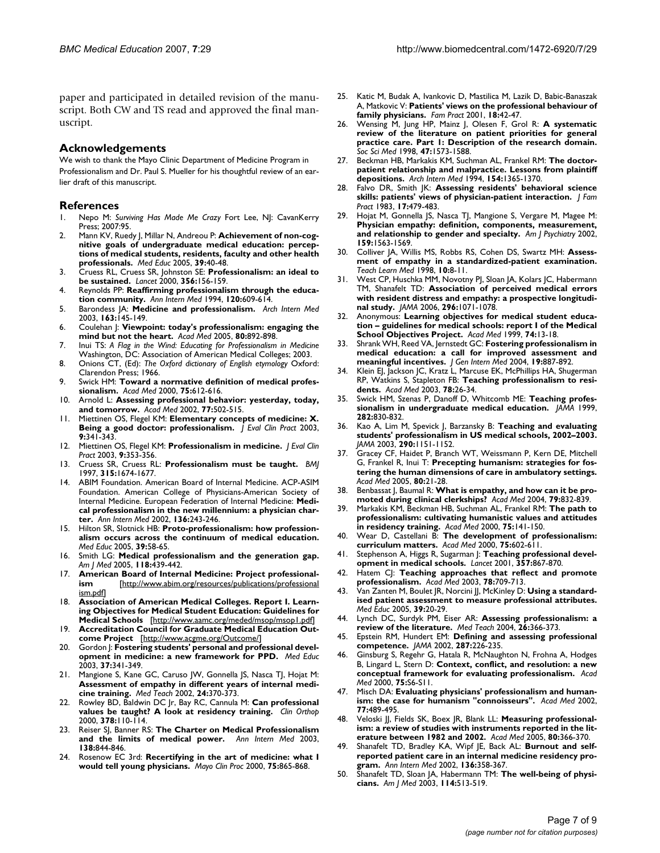paper and participated in detailed revision of the manuscript. Both CW and TS read and approved the final manuscript.

#### **Acknowledgements**

We wish to thank the Mayo Clinic Department of Medicine Program in Professionalism and Dr. Paul S. Mueller for his thoughtful review of an earlier draft of this manuscript.

#### **References**

- 1. Nepo M: *Surviving Has Made Me Crazy* Fort Lee, NJ: CavanKerry Press; 2007:95.
- Mann KV, Ruedy J, Millar N, Andreou P: [Achievement of non-cog](http://www.ncbi.nlm.nih.gov/entrez/query.fcgi?cmd=Retrieve&db=PubMed&dopt=Abstract&list_uids=15612899)**nitive goals of undergraduate medical education: percep[tions of medical students, residents, faculty and other health](http://www.ncbi.nlm.nih.gov/entrez/query.fcgi?cmd=Retrieve&db=PubMed&dopt=Abstract&list_uids=15612899) [professionals.](http://www.ncbi.nlm.nih.gov/entrez/query.fcgi?cmd=Retrieve&db=PubMed&dopt=Abstract&list_uids=15612899)** *Med Educ* 2005, **39:**40-48.
- 3. Cruess RL, Cruess SR, Johnston SE: **[Professionalism: an ideal to](http://www.ncbi.nlm.nih.gov/entrez/query.fcgi?cmd=Retrieve&db=PubMed&dopt=Abstract&list_uids=10963262) [be sustained.](http://www.ncbi.nlm.nih.gov/entrez/query.fcgi?cmd=Retrieve&db=PubMed&dopt=Abstract&list_uids=10963262)** *Lancet* 2000, **356:**156-159.
- 4. Reynolds PP: **[Reaffirming professionalism through the educa](http://www.ncbi.nlm.nih.gov/entrez/query.fcgi?cmd=Retrieve&db=PubMed&dopt=Abstract&list_uids=8117001)[tion community.](http://www.ncbi.nlm.nih.gov/entrez/query.fcgi?cmd=Retrieve&db=PubMed&dopt=Abstract&list_uids=8117001)** *Ann Intern Med* 1994, **120:**609-614.
- 5. Barondess JA: **[Medicine and professionalism.](http://www.ncbi.nlm.nih.gov/entrez/query.fcgi?cmd=Retrieve&db=PubMed&dopt=Abstract&list_uids=12546604)** *Arch Intern Med* 2003, **163:**145-149.
- 6. Coulehan J: **[Viewpoint: today's professionalism: engaging the](http://www.ncbi.nlm.nih.gov/entrez/query.fcgi?cmd=Retrieve&db=PubMed&dopt=Abstract&list_uids=16186604) [mind but not the heart.](http://www.ncbi.nlm.nih.gov/entrez/query.fcgi?cmd=Retrieve&db=PubMed&dopt=Abstract&list_uids=16186604)** *Acad Med* 2005, **80:**892-898.
- 7. Inui TS: *A Flag in the Wind: Educating for Professionalism in Medicine* Washington, DC: Association of American Medical Colleges; 2003.
- 8. Onions CT, (Ed): *The Oxford dictionary of English etymology* Oxford: Clarendon Press; 1966.
- 9. Swick HM: **[Toward a normative definition of medical profes](http://www.ncbi.nlm.nih.gov/entrez/query.fcgi?cmd=Retrieve&db=PubMed&dopt=Abstract&list_uids=10875505)[sionalism.](http://www.ncbi.nlm.nih.gov/entrez/query.fcgi?cmd=Retrieve&db=PubMed&dopt=Abstract&list_uids=10875505)** *Acad Med* 2000, **75:**612-616.
- 10. Arnold L: **[Assessing professional behavior: yesterday, today,](http://www.ncbi.nlm.nih.gov/entrez/query.fcgi?cmd=Retrieve&db=PubMed&dopt=Abstract&list_uids=12063194) [and tomorrow.](http://www.ncbi.nlm.nih.gov/entrez/query.fcgi?cmd=Retrieve&db=PubMed&dopt=Abstract&list_uids=12063194)** *Acad Med* 2002, **77:**502-515.
- 11. Miettinen OS, Flegel KM: **[Elementary concepts of medicine: X.](http://www.ncbi.nlm.nih.gov/entrez/query.fcgi?cmd=Retrieve&db=PubMed&dopt=Abstract&list_uids=12895153) [Being a good doctor: professionalism.](http://www.ncbi.nlm.nih.gov/entrez/query.fcgi?cmd=Retrieve&db=PubMed&dopt=Abstract&list_uids=12895153)** *J Eval Clin Pract* 2003, **9:**341-343.
- 12. Miettinen OS, Flegel KM: **[Professionalism in medicine.](http://www.ncbi.nlm.nih.gov/entrez/query.fcgi?cmd=Retrieve&db=PubMed&dopt=Abstract&list_uids=12895156)** *J Eval Clin Pract* 2003, **9:**353-356.
- 13. Cruess SR, Cruess RL: **[Professionalism must be taught.](http://www.ncbi.nlm.nih.gov/entrez/query.fcgi?cmd=Retrieve&db=PubMed&dopt=Abstract&list_uids=9448538)** *BMJ* 1997, **315:**1674-1677.
- 14. ABIM Foundation. American Board of Internal Medicine. ACP-ASIM Foundation. American College of Physicians-American Society of Internal Medicine. European Federation of Internal Medicine: **[Medi](http://www.ncbi.nlm.nih.gov/entrez/query.fcgi?cmd=Retrieve&db=PubMed&dopt=Abstract&list_uids=11827500)[cal professionalism in the new millennium: a physician char](http://www.ncbi.nlm.nih.gov/entrez/query.fcgi?cmd=Retrieve&db=PubMed&dopt=Abstract&list_uids=11827500)[ter.](http://www.ncbi.nlm.nih.gov/entrez/query.fcgi?cmd=Retrieve&db=PubMed&dopt=Abstract&list_uids=11827500)** *Ann Intern Med* 2002, **136:**243-246.
- 15. Hilton SR, Slotnick HB: **[Proto-professionalism: how profession](http://www.ncbi.nlm.nih.gov/entrez/query.fcgi?cmd=Retrieve&db=PubMed&dopt=Abstract&list_uids=15612901)[alism occurs across the continuum of medical education.](http://www.ncbi.nlm.nih.gov/entrez/query.fcgi?cmd=Retrieve&db=PubMed&dopt=Abstract&list_uids=15612901)** *Med Educ* 2005, **39:**58-65.
- 16. Smith LG: **[Medical professionalism and the generation gap.](http://www.ncbi.nlm.nih.gov/entrez/query.fcgi?cmd=Retrieve&db=PubMed&dopt=Abstract&list_uids=15808146)** *Am J Med* 2005, **118:**439-442.
- 17. **American Board of Internal Medicine: Project professionalism** [\[http://www.abim.org/resources/publications/professional](http://www.abim.org/resources/publications/professionalism.pdf) [ism.pdf\]](http://www.abim.org/resources/publications/professionalism.pdf)
- 18. **Association of American Medical Colleges. Report I. Learning Objectives for Medical Student Education: Guidelines for Medical Schools** [[http://www.aamc.org/meded/msop/msop1.pdf\]](http://www.aamc.org/meded/msop/msop1.pdf)
- 19. **Accreditation Council for Graduate Medical Education Outcome Project** [<http://www.acgme.org/Outcome/>]
- 20. Gordon J: **[Fostering students' personal and professional devel](http://www.ncbi.nlm.nih.gov/entrez/query.fcgi?cmd=Retrieve&db=PubMed&dopt=Abstract&list_uids=12654119)[opment in medicine: a new framework for PPD.](http://www.ncbi.nlm.nih.gov/entrez/query.fcgi?cmd=Retrieve&db=PubMed&dopt=Abstract&list_uids=12654119)** *Med Educ* 2003, **37:**341-349.
- 21. Mangione S, Kane GC, Caruso JW, Gonnella JS, Nasca TJ, Hojat M: **[Assessment of empathy in different years of internal medi](http://www.ncbi.nlm.nih.gov/entrez/query.fcgi?cmd=Retrieve&db=PubMed&dopt=Abstract&list_uids=12193318)[cine training.](http://www.ncbi.nlm.nih.gov/entrez/query.fcgi?cmd=Retrieve&db=PubMed&dopt=Abstract&list_uids=12193318)** *Med Teach* 2002, **24:**370-373.
- 22. Rowley BD, Baldwin DC Jr, Bay RC, Cannula M: **[Can professional](http://www.ncbi.nlm.nih.gov/entrez/query.fcgi?cmd=Retrieve&db=PubMed&dopt=Abstract&list_uids=10986983) [values be taught? A look at residency training.](http://www.ncbi.nlm.nih.gov/entrez/query.fcgi?cmd=Retrieve&db=PubMed&dopt=Abstract&list_uids=10986983)** *Clin Orthop* 2000, **378:**110-114.
- 23. Reiser SJ, Banner RS: **[The Charter on Medical Professionalism](http://www.ncbi.nlm.nih.gov/entrez/query.fcgi?cmd=Retrieve&db=PubMed&dopt=Abstract&list_uids=12755558) [and the limits of medical power.](http://www.ncbi.nlm.nih.gov/entrez/query.fcgi?cmd=Retrieve&db=PubMed&dopt=Abstract&list_uids=12755558)** *Ann Intern Med* 2003, **138:**844-846.
- 24. Rosenow EC 3rd: **[Recertifying in the art of medicine: what I](http://www.ncbi.nlm.nih.gov/entrez/query.fcgi?cmd=Retrieve&db=PubMed&dopt=Abstract&list_uids=10943246) [would tell young physicians.](http://www.ncbi.nlm.nih.gov/entrez/query.fcgi?cmd=Retrieve&db=PubMed&dopt=Abstract&list_uids=10943246)** *Mayo Clin Proc* 2000, **75:**865-868.
- 25. Katic M, Budak A, Ivankovic D, Mastilica M, Lazik D, Babic-Banaszak A, Matkovic V: **[Patients' views on the professional behaviour of](http://www.ncbi.nlm.nih.gov/entrez/query.fcgi?cmd=Retrieve&db=PubMed&dopt=Abstract&list_uids=11145627) [family physicians.](http://www.ncbi.nlm.nih.gov/entrez/query.fcgi?cmd=Retrieve&db=PubMed&dopt=Abstract&list_uids=11145627)** *Fam Pract* 2001, **18:**42-47.
- 26. Wensing M, Jung HP, Mainz J, Olesen F, Grol R: **[A systematic](http://www.ncbi.nlm.nih.gov/entrez/query.fcgi?cmd=Retrieve&db=PubMed&dopt=Abstract&list_uids=9823053) review of the literature on patient priorities for general [practice care. Part 1: Description of the research domain.](http://www.ncbi.nlm.nih.gov/entrez/query.fcgi?cmd=Retrieve&db=PubMed&dopt=Abstract&list_uids=9823053)** *Soc Sci Med* 1998, **47:**1573-1588.
- 27. Beckman HB, Markakis KM, Suchman AL, Frankel RM: **[The doctor](http://www.ncbi.nlm.nih.gov/entrez/query.fcgi?cmd=Retrieve&db=PubMed&dopt=Abstract&list_uids=8002688)[patient relationship and malpractice. Lessons from plaintiff](http://www.ncbi.nlm.nih.gov/entrez/query.fcgi?cmd=Retrieve&db=PubMed&dopt=Abstract&list_uids=8002688) [depositions.](http://www.ncbi.nlm.nih.gov/entrez/query.fcgi?cmd=Retrieve&db=PubMed&dopt=Abstract&list_uids=8002688)** *Arch Intern Med* 1994, **154:**1365-1370.
- 28. Falvo DR, Smith JK: **[Assessing residents' behavioral science](http://www.ncbi.nlm.nih.gov/entrez/query.fcgi?cmd=Retrieve&db=PubMed&dopt=Abstract&list_uids=6886650) [skills: patients' views of physician-patient interaction.](http://www.ncbi.nlm.nih.gov/entrez/query.fcgi?cmd=Retrieve&db=PubMed&dopt=Abstract&list_uids=6886650)** *J Fam Pract* 1983, **17:**479-483.
- 29. Hojat M, Gonnella JS, Nasca TJ, Mangione S, Vergare M, Magee M: **[Physician empathy: definition, components, measurement,](http://www.ncbi.nlm.nih.gov/entrez/query.fcgi?cmd=Retrieve&db=PubMed&dopt=Abstract&list_uids=12202278) [and relationship to gender and specialty.](http://www.ncbi.nlm.nih.gov/entrez/query.fcgi?cmd=Retrieve&db=PubMed&dopt=Abstract&list_uids=12202278)** *Am J Psychiatry* 2002, **159:**1563-1569.
- 30. Colliver JA, Willis MS, Robbs RS, Cohen DS, Swartz MH: **Assessment of empathy in a standardized-patient examination.** *Teach Learn Med* 1998, **10:**8-11.
- 31. West CP, Huschka MM, Novotny PJ, Sloan JA, Kolars JC, Habermann TM, Shanafelt TD: **[Association of perceived medical errors](http://www.ncbi.nlm.nih.gov/entrez/query.fcgi?cmd=Retrieve&db=PubMed&dopt=Abstract&list_uids=16954486) [with resident distress and empathy: a prospective longitudi](http://www.ncbi.nlm.nih.gov/entrez/query.fcgi?cmd=Retrieve&db=PubMed&dopt=Abstract&list_uids=16954486)[nal study.](http://www.ncbi.nlm.nih.gov/entrez/query.fcgi?cmd=Retrieve&db=PubMed&dopt=Abstract&list_uids=16954486)** *JAMA* 2006, **296:**1071-1078.
- 32. Anonymous: **[Learning objectives for medical student educa](http://www.ncbi.nlm.nih.gov/entrez/query.fcgi?cmd=Retrieve&db=PubMed&dopt=Abstract&list_uids=9934288)[tion – guidelines for medical schools: report I of the Medical](http://www.ncbi.nlm.nih.gov/entrez/query.fcgi?cmd=Retrieve&db=PubMed&dopt=Abstract&list_uids=9934288) [School Objectives Project.](http://www.ncbi.nlm.nih.gov/entrez/query.fcgi?cmd=Retrieve&db=PubMed&dopt=Abstract&list_uids=9934288)** *Acad Med* 1999, **74:**13-18.
- 33. Shrank WH, Reed VA, Jernstedt GC: **[Fostering professionalism in](http://www.ncbi.nlm.nih.gov/entrez/query.fcgi?cmd=Retrieve&db=PubMed&dopt=Abstract&list_uids=15242476) [medical education: a call for improved assessment and](http://www.ncbi.nlm.nih.gov/entrez/query.fcgi?cmd=Retrieve&db=PubMed&dopt=Abstract&list_uids=15242476) [meaningful incentives.](http://www.ncbi.nlm.nih.gov/entrez/query.fcgi?cmd=Retrieve&db=PubMed&dopt=Abstract&list_uids=15242476)** *J Gen Intern Med* 2004, **19:**887-892.
- 34. Klein EJ, Jackson JC, Kratz L, Marcuse EK, McPhillips HA, Shugerman RP, Watkins S, Stapleton FB: **[Teaching professionalism to resi](http://www.ncbi.nlm.nih.gov/entrez/query.fcgi?cmd=Retrieve&db=PubMed&dopt=Abstract&list_uids=12525406)[dents.](http://www.ncbi.nlm.nih.gov/entrez/query.fcgi?cmd=Retrieve&db=PubMed&dopt=Abstract&list_uids=12525406)** *Acad Med* 2003, **78:**26-34.
- 35. Swick HM, Szenas P, Danoff D, Whitcomb ME: **[Teaching profes](http://www.ncbi.nlm.nih.gov/entrez/query.fcgi?cmd=Retrieve&db=PubMed&dopt=Abstract&list_uids=10478688)[sionalism in undergraduate medical education.](http://www.ncbi.nlm.nih.gov/entrez/query.fcgi?cmd=Retrieve&db=PubMed&dopt=Abstract&list_uids=10478688)** *JAMA* 1999, **282:**830-832.
- 36. Kao A, Lim M, Spevick J, Barzansky B: **[Teaching and evaluating](http://www.ncbi.nlm.nih.gov/entrez/query.fcgi?cmd=Retrieve&db=PubMed&dopt=Abstract&list_uids=12952994) [students' professionalism in US medical schools, 2002–2003.](http://www.ncbi.nlm.nih.gov/entrez/query.fcgi?cmd=Retrieve&db=PubMed&dopt=Abstract&list_uids=12952994)** *JAMA* 2003, **290:**1151-1152.
- 37. Gracey CF, Haidet P, Branch WT, Weissmann P, Kern DE, Mitchell G, Frankel R, Inui T: **[Precepting humanism: strategies for fos](http://www.ncbi.nlm.nih.gov/entrez/query.fcgi?cmd=Retrieve&db=PubMed&dopt=Abstract&list_uids=15618087)[tering the human dimensions of care in ambulatory settings.](http://www.ncbi.nlm.nih.gov/entrez/query.fcgi?cmd=Retrieve&db=PubMed&dopt=Abstract&list_uids=15618087)** *Acad Med* 2005, **80:**21-28.
- 38. Benbassat J, Baumal R: **[What is empathy, and how can it be pro](http://www.ncbi.nlm.nih.gov/entrez/query.fcgi?cmd=Retrieve&db=PubMed&dopt=Abstract&list_uids=15326005)[moted during clinical clerkships?](http://www.ncbi.nlm.nih.gov/entrez/query.fcgi?cmd=Retrieve&db=PubMed&dopt=Abstract&list_uids=15326005)** *Acad Med* 2004, **79:**832-839.
- 39. Markakis KM, Beckman HB, Suchman AL, Frankel RM: **[The path to](http://www.ncbi.nlm.nih.gov/entrez/query.fcgi?cmd=Retrieve&db=PubMed&dopt=Abstract&list_uids=10693844) [professionalism: cultivating humanistic values and attitudes](http://www.ncbi.nlm.nih.gov/entrez/query.fcgi?cmd=Retrieve&db=PubMed&dopt=Abstract&list_uids=10693844) [in residency training.](http://www.ncbi.nlm.nih.gov/entrez/query.fcgi?cmd=Retrieve&db=PubMed&dopt=Abstract&list_uids=10693844)** *Acad Med* 2000, **75:**141-150.
- 40. Wear D, Castellani B: **[The development of professionalism:](http://www.ncbi.nlm.nih.gov/entrez/query.fcgi?cmd=Retrieve&db=PubMed&dopt=Abstract&list_uids=10875504) [curriculum matters.](http://www.ncbi.nlm.nih.gov/entrez/query.fcgi?cmd=Retrieve&db=PubMed&dopt=Abstract&list_uids=10875504)** *Acad Med* 2000, **75:**602-611.
- 41. Stephenson A, Higgs R, Sugarman J: **[Teaching professional devel](http://www.ncbi.nlm.nih.gov/entrez/query.fcgi?cmd=Retrieve&db=PubMed&dopt=Abstract&list_uids=11265967)[opment in medical schools.](http://www.ncbi.nlm.nih.gov/entrez/query.fcgi?cmd=Retrieve&db=PubMed&dopt=Abstract&list_uids=11265967)** *Lancet* 2001, **357:**867-870.
- Hatem CJ: [Teaching approaches that reflect and promote](http://www.ncbi.nlm.nih.gov/entrez/query.fcgi?cmd=Retrieve&db=PubMed&dopt=Abstract&list_uids=12857689) **[professionalism.](http://www.ncbi.nlm.nih.gov/entrez/query.fcgi?cmd=Retrieve&db=PubMed&dopt=Abstract&list_uids=12857689)** *Acad Med* 2003, **78:**709-713.
- 43. Van Zanten M, Boulet JR, Norcini JJ, McKinley D: **[Using a standard](http://www.ncbi.nlm.nih.gov/entrez/query.fcgi?cmd=Retrieve&db=PubMed&dopt=Abstract&list_uids=15612897)[ised patient assessment to measure professional attributes.](http://www.ncbi.nlm.nih.gov/entrez/query.fcgi?cmd=Retrieve&db=PubMed&dopt=Abstract&list_uids=15612897)** *Med Educ* 2005, **39:**20-29.
- 44. Lynch DC, Surdyk PM, Eiser AR: **[Assessing professionalism: a](http://www.ncbi.nlm.nih.gov/entrez/query.fcgi?cmd=Retrieve&db=PubMed&dopt=Abstract&list_uids=15203852) [review of the literature.](http://www.ncbi.nlm.nih.gov/entrez/query.fcgi?cmd=Retrieve&db=PubMed&dopt=Abstract&list_uids=15203852)** *Med Teach* 2004, **26:**366-373.
- 45. Epstein RM, Hundert EM: **[Defining and assessing professional](http://www.ncbi.nlm.nih.gov/entrez/query.fcgi?cmd=Retrieve&db=PubMed&dopt=Abstract&list_uids=11779266) [competence.](http://www.ncbi.nlm.nih.gov/entrez/query.fcgi?cmd=Retrieve&db=PubMed&dopt=Abstract&list_uids=11779266)** *JAMA* 2002, **287:**226-235.
- 46. Ginsburg S, Regehr G, Hatala R, McNaughton N, Frohna A, Hodges B, Lingard L, Stern D: **[Context, conflict, and resolution: a new](http://www.ncbi.nlm.nih.gov/entrez/query.fcgi?cmd=Retrieve&db=PubMed&dopt=Abstract&list_uids=11031159) [conceptual framework for evaluating professionalism.](http://www.ncbi.nlm.nih.gov/entrez/query.fcgi?cmd=Retrieve&db=PubMed&dopt=Abstract&list_uids=11031159)** *Acad Med* 2000, **75:**S6-S11.
- 47. Misch DA: **[Evaluating physicians' professionalism and human](http://www.ncbi.nlm.nih.gov/entrez/query.fcgi?cmd=Retrieve&db=PubMed&dopt=Abstract&list_uids=12063192)[ism: the case for humanism "connoisseurs".](http://www.ncbi.nlm.nih.gov/entrez/query.fcgi?cmd=Retrieve&db=PubMed&dopt=Abstract&list_uids=12063192)** *Acad Med* 2002, **77:**489-495.
- Veloski JJ, Fields SK, Boex JR, Blank LL: [Measuring professional](http://www.ncbi.nlm.nih.gov/entrez/query.fcgi?cmd=Retrieve&db=PubMed&dopt=Abstract&list_uids=15793022)[ism: a review of studies with instruments reported in the lit](http://www.ncbi.nlm.nih.gov/entrez/query.fcgi?cmd=Retrieve&db=PubMed&dopt=Abstract&list_uids=15793022)**[erature between 1982 and 2002.](http://www.ncbi.nlm.nih.gov/entrez/query.fcgi?cmd=Retrieve&db=PubMed&dopt=Abstract&list_uids=15793022)** *Acad Med* 2005, **80:**366-370.
- 49. Shanafelt TD, Bradley KA, Wipf JE, Back AL: **[Burnout and self](http://www.ncbi.nlm.nih.gov/entrez/query.fcgi?cmd=Retrieve&db=PubMed&dopt=Abstract&list_uids=11874308)[reported patient care in an internal medicine residency pro](http://www.ncbi.nlm.nih.gov/entrez/query.fcgi?cmd=Retrieve&db=PubMed&dopt=Abstract&list_uids=11874308)[gram.](http://www.ncbi.nlm.nih.gov/entrez/query.fcgi?cmd=Retrieve&db=PubMed&dopt=Abstract&list_uids=11874308)** *Ann Intern Med* 2002, **136:**358-367.
- 50. Shanafelt TD, Sloan JA, Habermann TM: **[The well-being of physi](http://www.ncbi.nlm.nih.gov/entrez/query.fcgi?cmd=Retrieve&db=PubMed&dopt=Abstract&list_uids=12727590)[cians.](http://www.ncbi.nlm.nih.gov/entrez/query.fcgi?cmd=Retrieve&db=PubMed&dopt=Abstract&list_uids=12727590)** *Am J Med* 2003, **114:**513-519.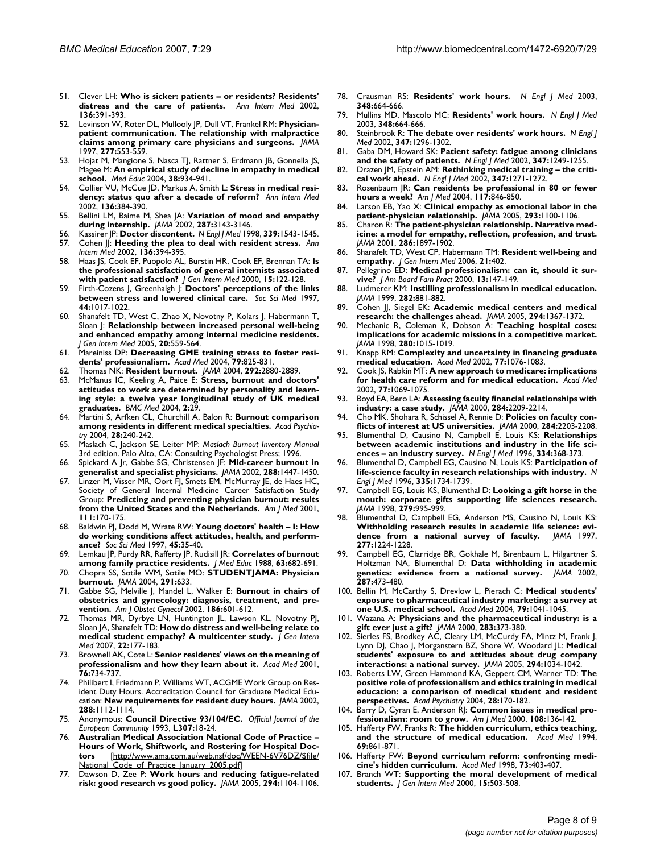- 51. Clever LH: **[Who is sicker: patients or residents? Residents'](http://www.ncbi.nlm.nih.gov/entrez/query.fcgi?cmd=Retrieve&db=PubMed&dopt=Abstract&list_uids=11874312) [distress and the care of patients.](http://www.ncbi.nlm.nih.gov/entrez/query.fcgi?cmd=Retrieve&db=PubMed&dopt=Abstract&list_uids=11874312)** *Ann Intern Med* 2002, **136:**391-393.
- 52. Levinson W, Roter DL, Mullooly JP, Dull VT, Frankel RM: **[Physician](http://www.ncbi.nlm.nih.gov/entrez/query.fcgi?cmd=Retrieve&db=PubMed&dopt=Abstract&list_uids=9032162)[patient communication. The relationship with malpractice](http://www.ncbi.nlm.nih.gov/entrez/query.fcgi?cmd=Retrieve&db=PubMed&dopt=Abstract&list_uids=9032162) [claims among primary care physicians and surgeons.](http://www.ncbi.nlm.nih.gov/entrez/query.fcgi?cmd=Retrieve&db=PubMed&dopt=Abstract&list_uids=9032162)** *JAMA* 1997, **277:**553-559.
- 53. Hojat M, Mangione S, Nasca TJ, Rattner S, Erdmann JB, Gonnella JS, Magee M: **[An empirical study of decline in empathy in medical](http://www.ncbi.nlm.nih.gov/entrez/query.fcgi?cmd=Retrieve&db=PubMed&dopt=Abstract&list_uids=15327674) [school.](http://www.ncbi.nlm.nih.gov/entrez/query.fcgi?cmd=Retrieve&db=PubMed&dopt=Abstract&list_uids=15327674)** *Med Educ* 2004, **38:**934-941.
- 54. Collier VU, McCue JD, Markus A, Smith L: **[Stress in medical resi](http://www.ncbi.nlm.nih.gov/entrez/query.fcgi?cmd=Retrieve&db=PubMed&dopt=Abstract&list_uids=11874311)[dency: status quo after a decade of reform?](http://www.ncbi.nlm.nih.gov/entrez/query.fcgi?cmd=Retrieve&db=PubMed&dopt=Abstract&list_uids=11874311)** *Ann Intern Med* 2002, **136:**384-390.
- 55. Bellini LM, Baime M, Shea JA: **[Variation of mood and empathy](http://www.ncbi.nlm.nih.gov/entrez/query.fcgi?cmd=Retrieve&db=PubMed&dopt=Abstract&list_uids=12069680) [during internship.](http://www.ncbi.nlm.nih.gov/entrez/query.fcgi?cmd=Retrieve&db=PubMed&dopt=Abstract&list_uids=12069680)** *JAMA* 2002, **287:**3143-3146.
- 56. Kassirer JP: **[Doctor discontent.](http://www.ncbi.nlm.nih.gov/entrez/query.fcgi?cmd=Retrieve&db=PubMed&dopt=Abstract&list_uids=9819454)** *N Engl J Med* 1998, **339:**1543-1545.
- 57. Cohen JJ: **[Heeding the plea to deal with resident stress.](http://www.ncbi.nlm.nih.gov/entrez/query.fcgi?cmd=Retrieve&db=PubMed&dopt=Abstract&list_uids=11874313)** *Ann Intern Med* 2002, **136:**394-395.
- 58. Haas JS, Cook EF, Puopolo AL, Burstin HR, Cook EF, Brennan TA: **[Is](http://www.ncbi.nlm.nih.gov/entrez/query.fcgi?cmd=Retrieve&db=PubMed&dopt=Abstract&list_uids=10672116) [the professional satisfaction of general internists associated](http://www.ncbi.nlm.nih.gov/entrez/query.fcgi?cmd=Retrieve&db=PubMed&dopt=Abstract&list_uids=10672116) [with patient satisfaction?](http://www.ncbi.nlm.nih.gov/entrez/query.fcgi?cmd=Retrieve&db=PubMed&dopt=Abstract&list_uids=10672116)** *J Gen Intern Med* 2000, **15:**122-128.
- 59. Firth-Cozens J, Greenhalgh J: **[Doctors' perceptions of the links](http://www.ncbi.nlm.nih.gov/entrez/query.fcgi?cmd=Retrieve&db=PubMed&dopt=Abstract&list_uids=9089922) [between stress and lowered clinical care.](http://www.ncbi.nlm.nih.gov/entrez/query.fcgi?cmd=Retrieve&db=PubMed&dopt=Abstract&list_uids=9089922)** *Soc Sci Med* 1997, **44:**1017-1022.
- 60. Shanafelt TD, West C, Zhao X, Novotny P, Kolars J, Habermann T, Sloan J: **[Relationship between increased personal well-being](http://www.ncbi.nlm.nih.gov/entrez/query.fcgi?cmd=Retrieve&db=PubMed&dopt=Abstract&list_uids=16050855) [and enhanced empathy among internal medicine residents.](http://www.ncbi.nlm.nih.gov/entrez/query.fcgi?cmd=Retrieve&db=PubMed&dopt=Abstract&list_uids=16050855)** *J Gen Intern Med* 2005, **20:**559-564.
- 61. Mareiniss DP: **[Decreasing GME training stress to foster resi](http://www.ncbi.nlm.nih.gov/entrez/query.fcgi?cmd=Retrieve&db=PubMed&dopt=Abstract&list_uids=15326004)[dents' professionalism.](http://www.ncbi.nlm.nih.gov/entrez/query.fcgi?cmd=Retrieve&db=PubMed&dopt=Abstract&list_uids=15326004)** *Acad Med* 2004, **79:**825-831.
- 62. Thomas NK: **[Resident burnout.](http://www.ncbi.nlm.nih.gov/entrez/query.fcgi?cmd=Retrieve&db=PubMed&dopt=Abstract&list_uids=15598920)** *JAMA* 2004, **292:**2880-2889.
- 63. McManus IC, Keeling A, Paice E: **[Stress, burnout and doctors'](http://www.ncbi.nlm.nih.gov/entrez/query.fcgi?cmd=Retrieve&db=PubMed&dopt=Abstract&list_uids=15317650) attitudes to work are determined by personality and learn[ing style: a twelve year longitudinal study of UK medical](http://www.ncbi.nlm.nih.gov/entrez/query.fcgi?cmd=Retrieve&db=PubMed&dopt=Abstract&list_uids=15317650) [graduates.](http://www.ncbi.nlm.nih.gov/entrez/query.fcgi?cmd=Retrieve&db=PubMed&dopt=Abstract&list_uids=15317650)** *BMC Med* 2004, **2:**29.
- 64. Martini S, Arfken CL, Churchill A, Balon R: **[Burnout comparison](http://www.ncbi.nlm.nih.gov/entrez/query.fcgi?cmd=Retrieve&db=PubMed&dopt=Abstract&list_uids=15507560) [among residents in different medical specialties.](http://www.ncbi.nlm.nih.gov/entrez/query.fcgi?cmd=Retrieve&db=PubMed&dopt=Abstract&list_uids=15507560)** *Acad Psychiatry* 2004, **28:**240-242.
- 65. Maslach C, Jackson SE, Leiter MP: *Maslach Burnout Inventory Manual* 3rd edition. Palo Alto, CA: Consulting Psychologist Press; 1996.
- 66. Spickard A Jr, Gabbe SG, Christensen JF: **[Mid-career burnout in](http://www.ncbi.nlm.nih.gov/entrez/query.fcgi?cmd=Retrieve&db=PubMed&dopt=Abstract&list_uids=12243624) [generalist and specialist physicians.](http://www.ncbi.nlm.nih.gov/entrez/query.fcgi?cmd=Retrieve&db=PubMed&dopt=Abstract&list_uids=12243624)** *JAMA* 2002, **288:**1447-1450.
- 67. Linzer M, Visser MR, Oort FJ, Smets EM, McMurray JE, de Haes HC, Society of General Internal Medicine Career Satisfaction Study Group: **[Predicting and preventing physician burnout: results](http://www.ncbi.nlm.nih.gov/entrez/query.fcgi?cmd=Retrieve&db=PubMed&dopt=Abstract&list_uids=11498074) [from the United States and the Netherlands.](http://www.ncbi.nlm.nih.gov/entrez/query.fcgi?cmd=Retrieve&db=PubMed&dopt=Abstract&list_uids=11498074)** *Am J Med* 2001, **111:**170-175.
- 68. Baldwin PJ, Dodd M, Wrate RW: **[Young doctors' health I: How](http://www.ncbi.nlm.nih.gov/entrez/query.fcgi?cmd=Retrieve&db=PubMed&dopt=Abstract&list_uids=9203268) [do working conditions affect attitudes, health, and perform](http://www.ncbi.nlm.nih.gov/entrez/query.fcgi?cmd=Retrieve&db=PubMed&dopt=Abstract&list_uids=9203268)[ance?](http://www.ncbi.nlm.nih.gov/entrez/query.fcgi?cmd=Retrieve&db=PubMed&dopt=Abstract&list_uids=9203268)** *Soc Sci Med* 1997, **45:**35-40.
- 69. Lemkau JP, Purdy RR, Rafferty JP, Rudisill JR: **[Correlates of burnout](http://www.ncbi.nlm.nih.gov/entrez/query.fcgi?cmd=Retrieve&db=PubMed&dopt=Abstract&list_uids=3418671) [among family practice residents.](http://www.ncbi.nlm.nih.gov/entrez/query.fcgi?cmd=Retrieve&db=PubMed&dopt=Abstract&list_uids=3418671)** *J Med Educ* 1988, **63:**682-691.
- 70. Chopra SS, Sotile WM, Sotile MO: **[STUDENTJAMA: Physician](http://www.ncbi.nlm.nih.gov/entrez/query.fcgi?cmd=Retrieve&db=PubMed&dopt=Abstract&list_uids=14762045) [burnout.](http://www.ncbi.nlm.nih.gov/entrez/query.fcgi?cmd=Retrieve&db=PubMed&dopt=Abstract&list_uids=14762045)** *JAMA* 2004, **291:**633.
- 71. Gabbe SG, Melville J, Mandel L, Walker E: **[Burnout in chairs of](http://www.ncbi.nlm.nih.gov/entrez/query.fcgi?cmd=Retrieve&db=PubMed&dopt=Abstract&list_uids=11967480) [obstetrics and gynecology: diagnosis, treatment, and pre](http://www.ncbi.nlm.nih.gov/entrez/query.fcgi?cmd=Retrieve&db=PubMed&dopt=Abstract&list_uids=11967480)[vention.](http://www.ncbi.nlm.nih.gov/entrez/query.fcgi?cmd=Retrieve&db=PubMed&dopt=Abstract&list_uids=11967480)** *Am J Obstet Gynecol* 2002, **186:**601-612.
- 72. Thomas MR, Dyrbye LN, Huntington JL, Lawson KL, Novotny PJ, Sloan JA, Shanafelt TD: **[How do distress and well-being relate to](http://www.ncbi.nlm.nih.gov/entrez/query.fcgi?cmd=Retrieve&db=PubMed&dopt=Abstract&list_uids=17356983) [medical student empathy? A multicenter study.](http://www.ncbi.nlm.nih.gov/entrez/query.fcgi?cmd=Retrieve&db=PubMed&dopt=Abstract&list_uids=17356983)** *J Gen Intern Med* 2007, **22:**177-183.
- 73. Brownell AK, Cote L: **[Senior residents' views on the meaning of](http://www.ncbi.nlm.nih.gov/entrez/query.fcgi?cmd=Retrieve&db=PubMed&dopt=Abstract&list_uids=11448832) [professionalism and how they learn about it.](http://www.ncbi.nlm.nih.gov/entrez/query.fcgi?cmd=Retrieve&db=PubMed&dopt=Abstract&list_uids=11448832)** *Acad Med* 2001, **76:**734-737.
- 74. Philibert I, Friedmann P, Williams WT, ACGME Work Group on Resident Duty Hours. Accreditation Council for Graduate Medical Education: **[New requirements for resident duty hours.](http://www.ncbi.nlm.nih.gov/entrez/query.fcgi?cmd=Retrieve&db=PubMed&dopt=Abstract&list_uids=12204081)** *JAMA* 2002, **288:**1112-1114.
- 75. Anonymous: **Council Directive 93/104/EC.** *Official Journal of the European Community* 1993, **L307:**18-24.
- 76. **Australian Medical Association National Code of Practice – Hours of Work, Shiftwork, and Rostering for Hospital Doctors [http://www.ama.com.au/web.nsf/doc/WEEN-6V76DZ/\$file/ tors** [\[http://www.ama.com.au/web.nsf/doc/WEEN-6V76DZ/\\$file/](http://www.ama.com.au/web.nsf/doc/WEEN-6V76DZ/$file/National_Code_of_Practice_January_2005.pdf) National Code of Practice January 2005.pdf
- 77. Dawson D, Zee P: **[Work hours and reducing fatigue-related](http://www.ncbi.nlm.nih.gov/entrez/query.fcgi?cmd=Retrieve&db=PubMed&dopt=Abstract&list_uids=16145032) [risk: good research vs good policy.](http://www.ncbi.nlm.nih.gov/entrez/query.fcgi?cmd=Retrieve&db=PubMed&dopt=Abstract&list_uids=16145032)** *JAMA* 2005, **294:**1104-1106.
- 78. Crausman RS: **[Residents' work hours.](http://www.ncbi.nlm.nih.gov/entrez/query.fcgi?cmd=Retrieve&db=PubMed&dopt=Abstract&list_uids=12584382)** *N Engl J Med* 2003, **348:**664-666.
- 79. Mullins MD, Mascolo MC: **[Residents' work hours.](http://www.ncbi.nlm.nih.gov/entrez/query.fcgi?cmd=Retrieve&db=PubMed&dopt=Abstract&list_uids=12587576)** *N Engl J Med* 2003, **348:**664-666.
- 80. Steinbrook R: **[The debate over residents' work hours.](http://www.ncbi.nlm.nih.gov/entrez/query.fcgi?cmd=Retrieve&db=PubMed&dopt=Abstract&list_uids=12393837)** *N Engl J Med* 2002, **347:**1296-1302.
- 81. Gaba DM, Howard SK: **[Patient safety: fatigue among clinicians](http://www.ncbi.nlm.nih.gov/entrez/query.fcgi?cmd=Retrieve&db=PubMed&dopt=Abstract&list_uids=12393823) [and the safety of patients.](http://www.ncbi.nlm.nih.gov/entrez/query.fcgi?cmd=Retrieve&db=PubMed&dopt=Abstract&list_uids=12393823)** *N Engl J Med* 2002, **347:**1249-1255.
- 82. Drazen JM, Epstein AM: **[Rethinking medical training the criti](http://www.ncbi.nlm.nih.gov/entrez/query.fcgi?cmd=Retrieve&db=PubMed&dopt=Abstract&list_uids=12393827)[cal work ahead.](http://www.ncbi.nlm.nih.gov/entrez/query.fcgi?cmd=Retrieve&db=PubMed&dopt=Abstract&list_uids=12393827)** *N Engl J Med* 2002, **347:**1271-1272.
- 83. Rosenbaum JR: **[Can residents be professional in 80 or fewer](http://www.ncbi.nlm.nih.gov/entrez/query.fcgi?cmd=Retrieve&db=PubMed&dopt=Abstract&list_uids=15589489) [hours a week?](http://www.ncbi.nlm.nih.gov/entrez/query.fcgi?cmd=Retrieve&db=PubMed&dopt=Abstract&list_uids=15589489)** *Am J Med* 2004, **117:**846-850.
- 84. Larson EB, Yao X: **[Clinical empathy as emotional labor in the](http://www.ncbi.nlm.nih.gov/entrez/query.fcgi?cmd=Retrieve&db=PubMed&dopt=Abstract&list_uids=15741532) [patient-physician relationship.](http://www.ncbi.nlm.nih.gov/entrez/query.fcgi?cmd=Retrieve&db=PubMed&dopt=Abstract&list_uids=15741532)** *JAMA* 2005, **293:**1100-1106.
- 85. Charon R: **[The patient-physician relationship. Narrative med](http://www.ncbi.nlm.nih.gov/entrez/query.fcgi?cmd=Retrieve&db=PubMed&dopt=Abstract&list_uids=11597295)[icine: a model for empathy, reflection, profession, and trust.](http://www.ncbi.nlm.nih.gov/entrez/query.fcgi?cmd=Retrieve&db=PubMed&dopt=Abstract&list_uids=11597295)** *JAMA* 2001, **286:**1897-1902.
- 86. Shanafelt TD, West CP, Habermann TM: **[Resident well-being and](http://www.ncbi.nlm.nih.gov/entrez/query.fcgi?cmd=Retrieve&db=PubMed&dopt=Abstract&list_uids=16686829) [empathy.](http://www.ncbi.nlm.nih.gov/entrez/query.fcgi?cmd=Retrieve&db=PubMed&dopt=Abstract&list_uids=16686829)** *J Gen Intern Med* 2006, **21:**402.
- 87. Pellegrino ED: **[Medical professionalism: can it, should it sur](http://www.ncbi.nlm.nih.gov/entrez/query.fcgi?cmd=Retrieve&db=PubMed&dopt=Abstract&list_uids=10764200)[vive?](http://www.ncbi.nlm.nih.gov/entrez/query.fcgi?cmd=Retrieve&db=PubMed&dopt=Abstract&list_uids=10764200)** *J Am Board Fam Pract* 2000, **13:**147-149.
- 88. Ludmerer KM: **[Instilling professionalism in medical education.](http://www.ncbi.nlm.nih.gov/entrez/query.fcgi?cmd=Retrieve&db=PubMed&dopt=Abstract&list_uids=10478696)** *JAMA* 1999, **282:**881-882.
- 89. Cohen JJ, Siegel EK: **[Academic medical centers and medical](http://www.ncbi.nlm.nih.gov/entrez/query.fcgi?cmd=Retrieve&db=PubMed&dopt=Abstract&list_uids=16174695) [research: the challenges ahead.](http://www.ncbi.nlm.nih.gov/entrez/query.fcgi?cmd=Retrieve&db=PubMed&dopt=Abstract&list_uids=16174695)** *JAMA* 2005, **294:**1367-1372.
- 90. Mechanic R, Coleman K, Dobson A: **[Teaching hospital costs:](http://www.ncbi.nlm.nih.gov/entrez/query.fcgi?cmd=Retrieve&db=PubMed&dopt=Abstract&list_uids=9749488) [implications for academic missions in a competitive market.](http://www.ncbi.nlm.nih.gov/entrez/query.fcgi?cmd=Retrieve&db=PubMed&dopt=Abstract&list_uids=9749488)** *JAMA* 1998, **280:**1015-1019.
- 91. Knapp RM: **[Complexity and uncertainty in financing graduate](http://www.ncbi.nlm.nih.gov/entrez/query.fcgi?cmd=Retrieve&db=PubMed&dopt=Abstract&list_uids=12431915) [medical education.](http://www.ncbi.nlm.nih.gov/entrez/query.fcgi?cmd=Retrieve&db=PubMed&dopt=Abstract&list_uids=12431915)** *Acad Med* 2002, **77:**1076-1083.
- 92. Cook JS, Rabkin MT: **[A new approach to medicare: implications](http://www.ncbi.nlm.nih.gov/entrez/query.fcgi?cmd=Retrieve&db=PubMed&dopt=Abstract&list_uids=12431914) [for health care reform and for medical education.](http://www.ncbi.nlm.nih.gov/entrez/query.fcgi?cmd=Retrieve&db=PubMed&dopt=Abstract&list_uids=12431914)** *Acad Med* 2002, **77:**1069-1075.
- 93. Boyd EA, Bero LA: **[Assessing faculty financial relationships with](http://www.ncbi.nlm.nih.gov/entrez/query.fcgi?cmd=Retrieve&db=PubMed&dopt=Abstract&list_uids=11056592) [industry: a case study.](http://www.ncbi.nlm.nih.gov/entrez/query.fcgi?cmd=Retrieve&db=PubMed&dopt=Abstract&list_uids=11056592)** *JAMA* 2000, **284:**2209-2214.
- 94. Cho MK, Shohara R, Schissel A, Rennie D: **[Policies on faculty con](http://www.ncbi.nlm.nih.gov/entrez/query.fcgi?cmd=Retrieve&db=PubMed&dopt=Abstract&list_uids=11056591)[flicts of interest at US universities.](http://www.ncbi.nlm.nih.gov/entrez/query.fcgi?cmd=Retrieve&db=PubMed&dopt=Abstract&list_uids=11056591)** *JAMA* 2000, **284:**2203-2208.
- 95. Blumenthal D, Causino N, Campbell E, Louis KS: **[Relationships](http://www.ncbi.nlm.nih.gov/entrez/query.fcgi?cmd=Retrieve&db=PubMed&dopt=Abstract&list_uids=8538709) [between academic institutions and industry in the life sci](http://www.ncbi.nlm.nih.gov/entrez/query.fcgi?cmd=Retrieve&db=PubMed&dopt=Abstract&list_uids=8538709)[ences – an industry survey.](http://www.ncbi.nlm.nih.gov/entrez/query.fcgi?cmd=Retrieve&db=PubMed&dopt=Abstract&list_uids=8538709)** *N Engl J Med* 1996, **334:**368-373.
- 96. Blumenthal D, Campbell EG, Causino N, Louis KS: **[Participation of](http://www.ncbi.nlm.nih.gov/entrez/query.fcgi?cmd=Retrieve&db=PubMed&dopt=Abstract&list_uids=8929266) [life-science faculty in research relationships with industry.](http://www.ncbi.nlm.nih.gov/entrez/query.fcgi?cmd=Retrieve&db=PubMed&dopt=Abstract&list_uids=8929266)** *N Engl J Med* 1996, **335:**1734-1739.
- 97. Campbell EG, Louis KS, Blumenthal D: **[Looking a gift horse in the](http://www.ncbi.nlm.nih.gov/entrez/query.fcgi?cmd=Retrieve&db=PubMed&dopt=Abstract&list_uids=9533497) [mouth: corporate gifts supporting life sciences research.](http://www.ncbi.nlm.nih.gov/entrez/query.fcgi?cmd=Retrieve&db=PubMed&dopt=Abstract&list_uids=9533497)** *JAMA* 1998, **279:**995-999.
- 98. Blumenthal D, Campbell EG, Anderson MS, Causino N, Louis KS: **[Withholding research results in academic life science: evi](http://www.ncbi.nlm.nih.gov/entrez/query.fcgi?cmd=Retrieve&db=PubMed&dopt=Abstract&list_uids=9103347)[dence from a national survey of faculty.](http://www.ncbi.nlm.nih.gov/entrez/query.fcgi?cmd=Retrieve&db=PubMed&dopt=Abstract&list_uids=9103347)** *JAMA* 1997, **277:**1224-1228.
- Campbell EG, Clarridge BR, Gokhale M, Birenbaum L, Hilgartner S, Holtzman NA, Blumenthal D: **[Data withholding in academic](http://www.ncbi.nlm.nih.gov/entrez/query.fcgi?cmd=Retrieve&db=PubMed&dopt=Abstract&list_uids=11798369)** [genetics: evidence from a national survey.](http://www.ncbi.nlm.nih.gov/entrez/query.fcgi?cmd=Retrieve&db=PubMed&dopt=Abstract&list_uids=11798369) **287:**473-480.
- 100. Bellin M, McCarthy S, Drevlow L, Pierach C: **[Medical students'](http://www.ncbi.nlm.nih.gov/entrez/query.fcgi?cmd=Retrieve&db=PubMed&dopt=Abstract&list_uids=15504768) [exposure to pharmaceutical industry marketing: a survey at](http://www.ncbi.nlm.nih.gov/entrez/query.fcgi?cmd=Retrieve&db=PubMed&dopt=Abstract&list_uids=15504768) [one U.S. medical school.](http://www.ncbi.nlm.nih.gov/entrez/query.fcgi?cmd=Retrieve&db=PubMed&dopt=Abstract&list_uids=15504768)** *Acad Med* 2004, **79:**1041-1045.
- 101. Wazana A: **[Physicians and the pharmaceutical industry: is a](http://www.ncbi.nlm.nih.gov/entrez/query.fcgi?cmd=Retrieve&db=PubMed&dopt=Abstract&list_uids=10647801) [gift ever just a gift?](http://www.ncbi.nlm.nih.gov/entrez/query.fcgi?cmd=Retrieve&db=PubMed&dopt=Abstract&list_uids=10647801)** *JAMA* 2000, **283:**373-380.
- 102. Sierles FS, Brodkey AC, Cleary LM, McCurdy FA, Mintz M, Frank J, Lynn DJ, Chao J, Morganstern BZ, Shore W, Woodard JL: **[Medical](http://www.ncbi.nlm.nih.gov/entrez/query.fcgi?cmd=Retrieve&db=PubMed&dopt=Abstract&list_uids=16145023) [students' exposure to and attitudes about drug company](http://www.ncbi.nlm.nih.gov/entrez/query.fcgi?cmd=Retrieve&db=PubMed&dopt=Abstract&list_uids=16145023) [interactions: a national survey.](http://www.ncbi.nlm.nih.gov/entrez/query.fcgi?cmd=Retrieve&db=PubMed&dopt=Abstract&list_uids=16145023)** *JAMA* 2005, **294:**1034-1042.
- 103. Roberts LW, Green Hammond KA, Geppert CM, Warner TD: **[The](http://www.ncbi.nlm.nih.gov/entrez/query.fcgi?cmd=Retrieve&db=PubMed&dopt=Abstract&list_uids=15507551) positive role of professionalism and ethics training in medical [education: a comparison of medical student and resident](http://www.ncbi.nlm.nih.gov/entrez/query.fcgi?cmd=Retrieve&db=PubMed&dopt=Abstract&list_uids=15507551) [perspectives.](http://www.ncbi.nlm.nih.gov/entrez/query.fcgi?cmd=Retrieve&db=PubMed&dopt=Abstract&list_uids=15507551)** *Acad Psychiatry* 2004, **28:**170-182.
- 104. Barry D, Cyran E, Anderson RJ: **[Common issues in medical pro](http://www.ncbi.nlm.nih.gov/entrez/query.fcgi?cmd=Retrieve&db=PubMed&dopt=Abstract&list_uids=11126307)[fessionalism: room to grow.](http://www.ncbi.nlm.nih.gov/entrez/query.fcgi?cmd=Retrieve&db=PubMed&dopt=Abstract&list_uids=11126307)** *Am J Med* 2000, **108:**136-142.
- 105. Hafferty FW, Franks R: **[The hidden curriculum, ethics teaching,](http://www.ncbi.nlm.nih.gov/entrez/query.fcgi?cmd=Retrieve&db=PubMed&dopt=Abstract&list_uids=7945681) [and the structure of medical education.](http://www.ncbi.nlm.nih.gov/entrez/query.fcgi?cmd=Retrieve&db=PubMed&dopt=Abstract&list_uids=7945681)** *Acad Med* 1994, **69:**861-871.
- 106. Hafferty FW: **[Beyond curriculum reform: confronting medi](http://www.ncbi.nlm.nih.gov/entrez/query.fcgi?cmd=Retrieve&db=PubMed&dopt=Abstract&list_uids=9580717)[cine's hidden curriculum.](http://www.ncbi.nlm.nih.gov/entrez/query.fcgi?cmd=Retrieve&db=PubMed&dopt=Abstract&list_uids=9580717)** *Acad Med* 1998, **73:**403-407.
- 107. Branch WT: **[Supporting the moral development of medical](http://www.ncbi.nlm.nih.gov/entrez/query.fcgi?cmd=Retrieve&db=PubMed&dopt=Abstract&list_uids=10940138) [students.](http://www.ncbi.nlm.nih.gov/entrez/query.fcgi?cmd=Retrieve&db=PubMed&dopt=Abstract&list_uids=10940138)** *J Gen Intern Med* 2000, **15:**503-508.